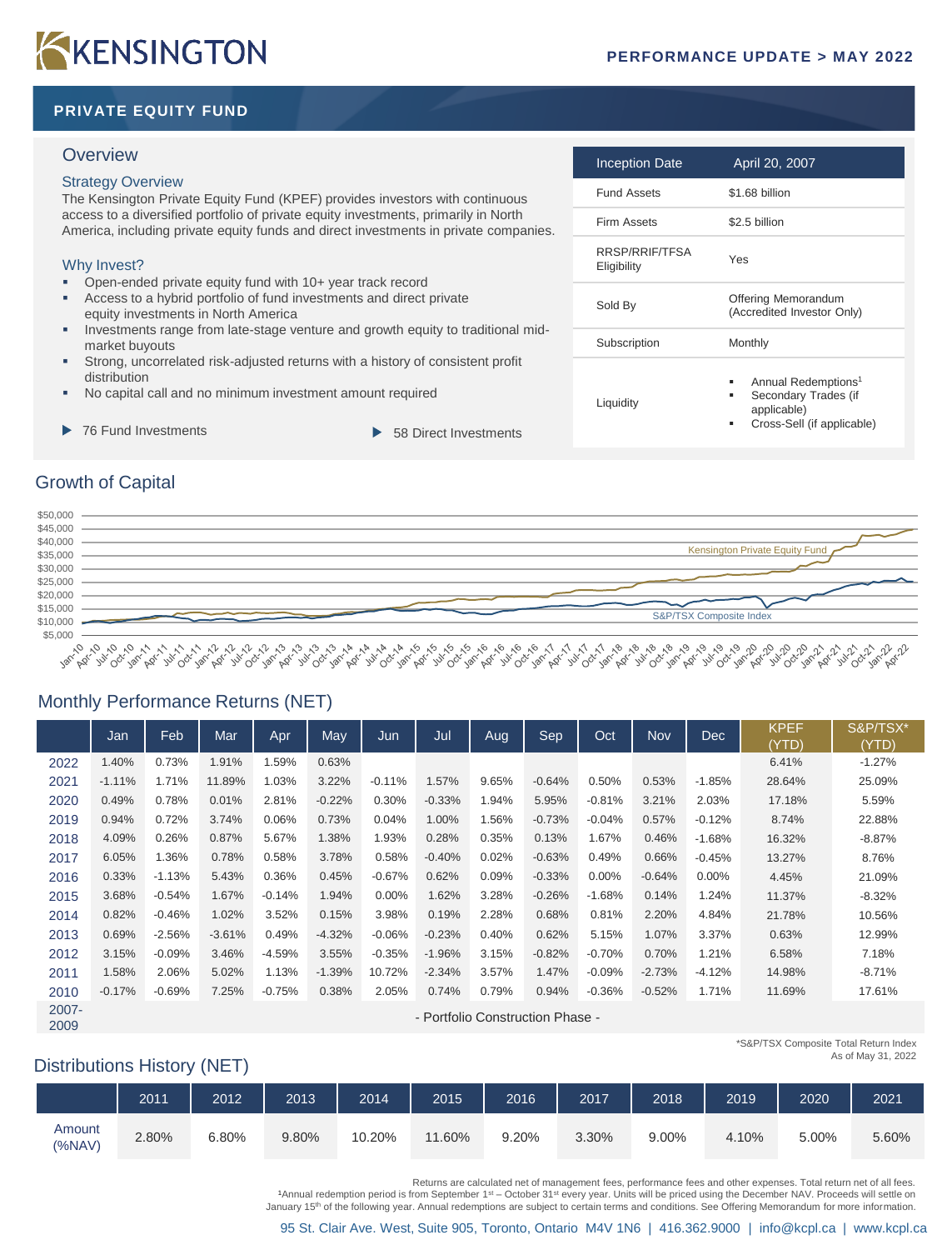# KKENSINGTON

### **PRIVATE EQUITY FUND**

### **Overview**

### Strategy Overview

The Kensington Private Equity Fund (KPEF) provides investors with continuous access to a diversified portfolio of private equity investments, primarily in North America, including private equity funds and direct investments in private companies.

### Why Invest?

- Open-ended private equity fund with 10+ year track record
- Access to a hybrid portfolio of fund investments and direct private equity investments in North America
- Investments range from late-stage venture and growth equity to traditional midmarket buyouts
- Strong, uncorrelated risk-adjusted returns with a history of consistent profit distribution
- No capital call and no minimum investment amount required
- 76 Fund Investments **1988** S8 Direct Investments
	-

| <b>Inception Date</b>         | April 20, 2007                                                                                                 |
|-------------------------------|----------------------------------------------------------------------------------------------------------------|
| <b>Fund Assets</b>            | \$1.68 billion                                                                                                 |
| <b>Firm Assets</b>            | \$2.5 billion                                                                                                  |
| RRSP/RRIF/TFSA<br>Eligibility | Yes                                                                                                            |
| Sold By                       | Offering Memorandum<br>(Accredited Investor Only)                                                              |
| Subscription                  | Monthly                                                                                                        |
| Liquidity                     | Annual Redemptions <sup>1</sup><br>٠<br>Secondary Trades (if<br>٠<br>applicable)<br>Cross-Sell (if applicable) |

### Growth of Capital



# Monthly Performance Returns (NET)

|               | Jan                              | Feb      | Mar      | Apr      | May      | Jun      | Jul      | Aug   | Sep      | Oct      | Nov      | <b>Dec</b> | <b>KPEF</b><br>(YTD) | S&P/TSX*<br>(YTD) |
|---------------|----------------------------------|----------|----------|----------|----------|----------|----------|-------|----------|----------|----------|------------|----------------------|-------------------|
| 2022          | 1.40%                            | 0.73%    | 1.91%    | 1.59%    | 0.63%    |          |          |       |          |          |          |            | 6.41%                | $-1.27%$          |
| 2021          | $-1.11%$                         | 1.71%    | 11.89%   | 1.03%    | 3.22%    | $-0.11%$ | 1.57%    | 9.65% | $-0.64%$ | 0.50%    | 0.53%    | $-1.85%$   | 28.64%               | 25.09%            |
| 2020          | 0.49%                            | 0.78%    | 0.01%    | 2.81%    | $-0.22%$ | 0.30%    | $-0.33%$ | 1.94% | 5.95%    | $-0.81%$ | 3.21%    | 2.03%      | 17.18%               | 5.59%             |
| 2019          | 0.94%                            | 0.72%    | 3.74%    | 0.06%    | 0.73%    | 0.04%    | 1.00%    | 1.56% | $-0.73%$ | $-0.04%$ | 0.57%    | $-0.12%$   | 8.74%                | 22.88%            |
| 2018          | 4.09%                            | 0.26%    | 0.87%    | 5.67%    | 1.38%    | 1.93%    | 0.28%    | 0.35% | 0.13%    | 1.67%    | 0.46%    | $-1.68%$   | 16.32%               | $-8.87%$          |
| 2017          | 6.05%                            | 1.36%    | 0.78%    | 0.58%    | 3.78%    | 0.58%    | $-0.40%$ | 0.02% | $-0.63%$ | 0.49%    | 0.66%    | $-0.45%$   | 13.27%               | 8.76%             |
| 2016          | 0.33%                            | $-1.13%$ | 5.43%    | 0.36%    | 0.45%    | $-0.67%$ | 0.62%    | 0.09% | $-0.33%$ | $0.00\%$ | $-0.64%$ | $0.00\%$   | 4.45%                | 21.09%            |
| 2015          | 3.68%                            | $-0.54%$ | 1.67%    | $-0.14%$ | 1.94%    | $0.00\%$ | 1.62%    | 3.28% | $-0.26%$ | $-1.68%$ | 0.14%    | 1.24%      | 11.37%               | $-8.32%$          |
| 2014          | 0.82%                            | $-0.46%$ | 1.02%    | 3.52%    | 0.15%    | 3.98%    | 0.19%    | 2.28% | 0.68%    | 0.81%    | 2.20%    | 4.84%      | 21.78%               | 10.56%            |
| 2013          | 0.69%                            | $-2.56%$ | $-3.61%$ | 0.49%    | $-4.32%$ | $-0.06%$ | $-0.23%$ | 0.40% | 0.62%    | 5.15%    | 1.07%    | 3.37%      | 0.63%                | 12.99%            |
| 2012          | 3.15%                            | $-0.09%$ | 3.46%    | $-4.59%$ | 3.55%    | $-0.35%$ | $-1.96%$ | 3.15% | $-0.82%$ | $-0.70%$ | 0.70%    | 1.21%      | 6.58%                | 7.18%             |
| 2011          | 1.58%                            | 2.06%    | 5.02%    | 1.13%    | $-1.39%$ | 10.72%   | $-2.34%$ | 3.57% | 1.47%    | $-0.09%$ | $-2.73%$ | $-4.12%$   | 14.98%               | $-8.71%$          |
| 2010          | $-0.17%$                         | $-0.69%$ | 7.25%    | $-0.75%$ | 0.38%    | 2.05%    | 0.74%    | 0.79% | 0.94%    | $-0.36%$ | $-0.52%$ | 1.71%      | 11.69%               | 17.61%            |
| 2007-<br>2009 | - Portfolio Construction Phase - |          |          |          |          |          |          |       |          |          |          |            |                      |                   |

### Distributions History (NET)

| *S&P/TSX Composite Total Return Index |
|---------------------------------------|
| As of May 31, 2022                    |
|                                       |
|                                       |

|                  | 2011  | 2012  | 2013  | 2014   | 2015       | 2016  | 2017  | 2018  | 2019  | 2020  | 2021  |
|------------------|-------|-------|-------|--------|------------|-------|-------|-------|-------|-------|-------|
| Amount<br>(%NAV) | 2.80% | 6.80% | 9.80% | 10.20% | .60%<br>11 | 9.20% | 3.30% | 9.00% | 4.10% | 5.00% | 5.60% |

Returns are calculated net of management fees, performance fees and other expenses. Total return net of all fees.

1Annual redemption period is from September 1<sup>st</sup> – October 31<sup>st</sup> every year. Units will be priced using the December NAV. Proceeds will settle on

January 15<sup>th</sup> of the following year. Annual redemptions are subject to certain terms and conditions. See Offering Memorandum for more information.